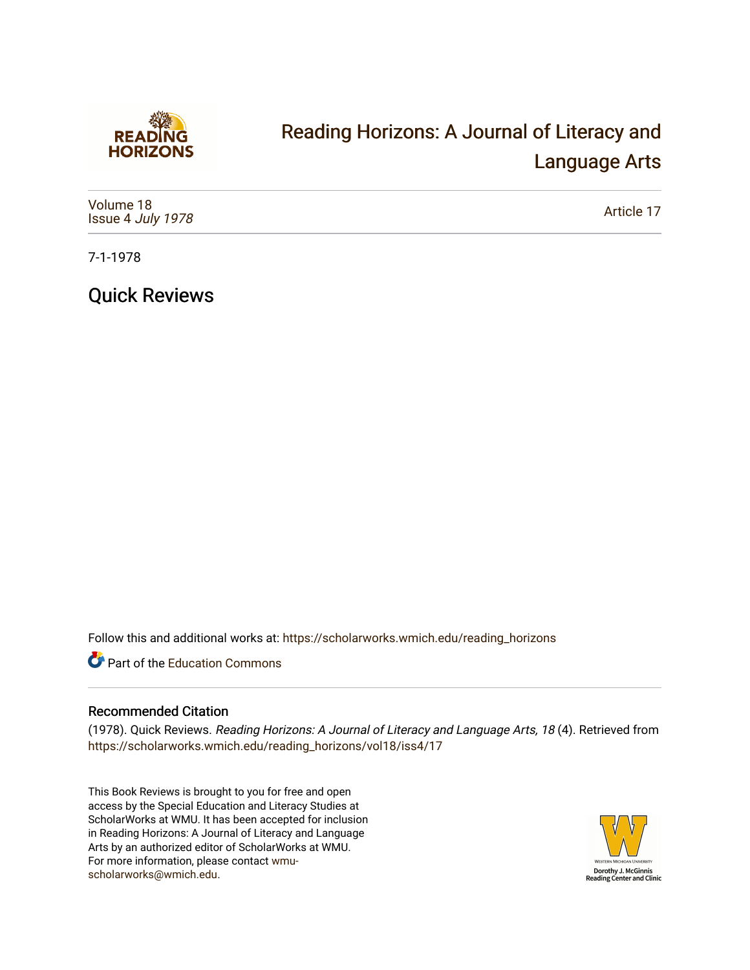

# [Reading Horizons: A Journal of Literacy and](https://scholarworks.wmich.edu/reading_horizons)  [Language Arts](https://scholarworks.wmich.edu/reading_horizons)

| Volume 18<br>Issue 4 July 1978 | Article 17 |
|--------------------------------|------------|
|--------------------------------|------------|

7-1-1978

Quick Reviews

Follow this and additional works at: [https://scholarworks.wmich.edu/reading\\_horizons](https://scholarworks.wmich.edu/reading_horizons?utm_source=scholarworks.wmich.edu%2Freading_horizons%2Fvol18%2Fiss4%2F17&utm_medium=PDF&utm_campaign=PDFCoverPages)

Part of the [Education Commons](http://network.bepress.com/hgg/discipline/784?utm_source=scholarworks.wmich.edu%2Freading_horizons%2Fvol18%2Fiss4%2F17&utm_medium=PDF&utm_campaign=PDFCoverPages)

#### Recommended Citation

(1978). Quick Reviews. Reading Horizons: A Journal of Literacy and Language Arts, 18 (4). Retrieved from [https://scholarworks.wmich.edu/reading\\_horizons/vol18/iss4/17](https://scholarworks.wmich.edu/reading_horizons/vol18/iss4/17?utm_source=scholarworks.wmich.edu%2Freading_horizons%2Fvol18%2Fiss4%2F17&utm_medium=PDF&utm_campaign=PDFCoverPages) 

This Book Reviews is brought to you for free and open access by the Special Education and Literacy Studies at ScholarWorks at WMU. It has been accepted for inclusion in Reading Horizons: A Journal of Literacy and Language Arts by an authorized editor of ScholarWorks at WMU. For more information, please contact [wmu](mailto:wmu-scholarworks@wmich.edu)[scholarworks@wmich.edu.](mailto:wmu-scholarworks@wmich.edu)

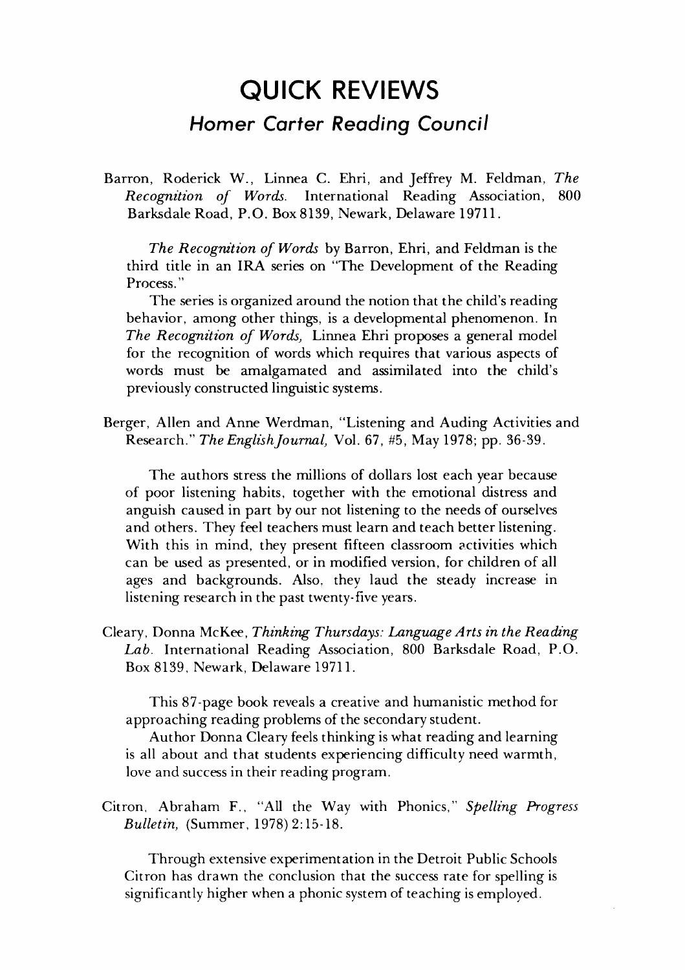# *QUICK REVIEWS* **QUICK REVIEWS**  *Homer Carter Reading Council* **Homer Corter Reading Council**

Barron, Roderick W., Linnea C. Ehri, and Jeffrey M. Feldman, **The** Barron, Roderick W., Linnea C. Ehri, and Jeffrey M. Feldman, *The*  **Recognition of Words.** International Reading Association, 800 *Recognition of Words.* International Reading Association, 800 Barksdale Road, P.O. Box 8139, Newark, Delaware 19711. Barksdale Road, P.O. Box8139, Newark, Delaware 19711.

**The Recognition of Words** by Barron, Ehri, and Feldman is the *The Recognition of Words* by Barron, Ehri, and Feldman is the third title in an IRA series on "The Development of the Reading third title in an **IRA** series on "The Development of the Reading Process." Process. "

The series is organized around the notion that the child's reading The series is organized around the notion that the child's reading behavior, among other things, is a developmental phenomenon. In behavior, among other things, is a developmental phenomenon. **In The Recognition of Words,** Linnea Ehri proposes a general model *The Recognition of Words)* Linnea Ehri proposes a general model for the recognition of words which requires that various aspects of words must be amalgamated and assimilated into the child's words must be amalgamated and assimilated into the child's previously constructed linguistic systems. previously constructed linguistic systems.

Berger, Allen and Anne Werdman, "Listening and Auding Activities and Berger, Allen and Anne Werdman, "Listening and Auding Activities and Research." **The EnglishJournal,** Vol. 67, #5, May 1978; pp. 36-39. Research." *The EnglishJournal)* Vol. 67, #5, 1978; pp. 36-39.

The authors stress the millions of dollars lost each year because The authors stress the millions of dollars lost each year because of poor listening habits, together with the emotional distress and of poor listening habits. together with the emotional distress and anguish caused in part by our not listening to the needs of ourselves and others. They feel teachers must learn and teach better listening. and others. They feel teachers must learn and teach better listening. With this in mind, they present fifteen classroom activities which can be used as presented, or in modified version, for children of all ages and backgrounds. Also, they laud the steady increase in listening research in the past twenty-five years.

Cleary, Donna McKee, **Thinking Thursdays: Language Arts in the Reading** Cleary, Donna McKee, *Thinking Thursdays: Language Arts in the Reading*  **Lab.** International Reading Association, 800 Barksdale Road, P.O. *Lab.* International Reading Association, 800 Barksdale Road, P.O. Box 8139, Newark, Delaware 19711. Box 8139, Newark, Delaware 19711.

This 87-page book reveals a creative and humanistic method for This 87-page book reveals a creative and humanistic method for approaching reading problems of the secondary student. approaching reading problems of the secondary student.

Author Donna Cleary feelsthinking is what reading and learning Author Donna Cleary feels thinking is what reading and learning is all about and that students experiencing difficulty need warmth, is all about and that students experiencing difficulty need warmth, love and success in their reading program. love and success in their reading program.

Citron, Abraham F., "All the Way with Phonics," **Spelling Progress** Citron. Abraham F., "All the Way with Phonics," *Spelling Progress*  **Bulletin,** (Summer, 1978) 2:15-18. *Bulletin,* (Summer. 1978) 2:15-18.

Through extensive experimentation in the Detroit Public Schools Through extensive experimentation the Detroit Public Schools Citron has drawn the conclusion that the success rate for spelling is Citron has drawn the conclusion that success rate for spelling is significantly higher when a phonic system of teaching is employed.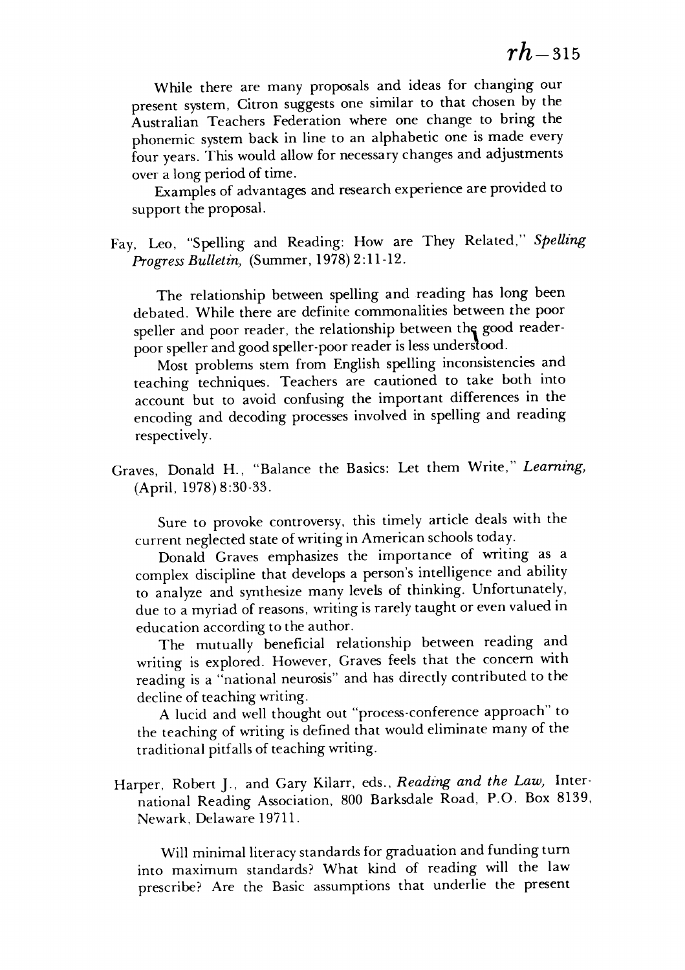While there are many proposals and ideas for changing our While there are many proposals and ideas for changing our present system, Citron suggests one similar to that chosen by the present system, Citron suggests one similar to that chosen by the Australian Teachers Federation where one change to bring the Australian Teachers Federation where one change to bring the phonemic system back in line to an alphabetic one is made every phonemic system back in line to an alphabetic one is made every four years. Thiswould allow fornecessary changes and adjustments four years. This would allow for necessary changes and adjustments over a long period of time. over a long period of time.

Examples of advantages and research experience areprovided to Examples of advantages and research experience are provided to support the proposal. support the proposal.

Fay, Leo, "Spelling and Reading: How are They Related," **Spelling** Fay, Leo, "Spelling and Reading: How are They Related," *Spelling*  **Progress Bulletin,** (Summer, 1978)2:11-12. *Progress Bulletin)* (Summer, 1978) 2:11-12.

The relationship between spelling and reading has long been The relationship between spelling and reading has long been debated. While there are definite commonalities between the poor debated. While there are definite commonalities between the poor speller and poor reader, the relationship between the good readerpoor speller andgood speller-poor reader isless understood. poor speller and good speller-poor reader is less underslood.

Most problems stem from English spelling inconsistencies and Most problems stem from English spelling inconsistencies and teaching techniques. Teachers are cautioned to take both into teaching techniques. Teachers are cautioned to take both into account but to avoid confusing the important differences in the account but to avoid confusing the important differences in the encoding and decoding processes involved in spelling and reading encoding and decoding processes involved in spelling and reading respectively. respectively.

Graves, Donald H., "Balance the Basics: Let them Write," **Learning,** Graves, Donald H., "Balance the Basics: Let them Write," *Learning)*  (April, 1978)8:30-33. (April, 1978) 8:30-33.

Sure to provoke controversy, this timely article deals with the Sure to provoke controversy, this timely article deals with the current neglected state of writing in American schools today.

Donald Graves emphasizes the importance of writing as a Donald Graves emphasizes the importance of writing as a complex discipline that develops a person's intelligence and ability complex discipline that develops a person's intelligence and ability to analyze and synthesize many levels of thinking. Unfortunately, to analyze and synthesize many levels of thinking. Unfortunately, due to a myriad of reasons, writing is rarely taught or even valued in education according to the author. education according to the author.

The mutually beneficial relationship between reading and The mutually beneficial relationship between reading and writing is explored. However, Graves feels that the concern with writing is explored. However, Graves feels that the concern with reading is a "national neurosis" and has directly contributed to the reading is a "national neurosis" and has directly contributed to the decline of teaching writing. decline of teaching writing.

A lucid and well thought out "process-conference approach" to A lucid and well thought out "process-conference approach" to the teaching of writing is defined that would eliminate many of the traditional pitfalls of teaching writing. traditional pitfalls of teaching writing.

Harper, Robert J., and Gary Kilarr, eds., **Reading and the Law,** Inter Harper, Robert J., and Gary Kilarr, eds., *Reading and the* Law) International Reading Association, 800 Barksdale Road, P.O. Box 8139, national Reading Association, 800 Barksdale Road, P.O. Box 8139, Newark, Delaware 19711. Newark, Delaware 1971l.

Will minimal literacy standards for graduation and funding turn into maximum standards? What kind of reading will the law into maximum standards? What kind of reading will the law prescribe? Are the Basic assumptions that underlie the present prescribe? Are the Basic assumptions that underlie the present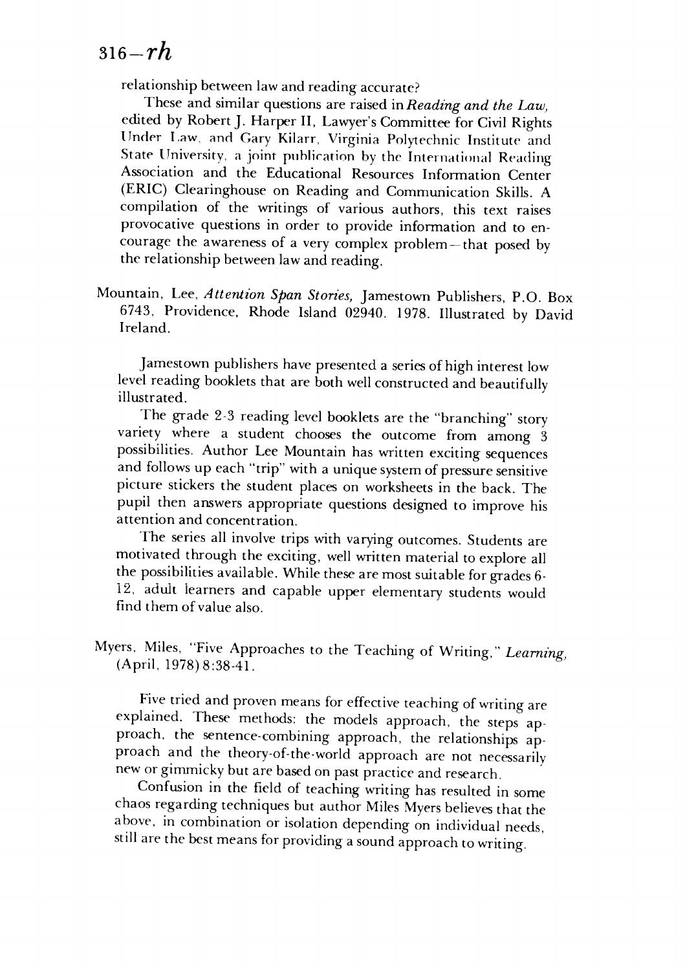## **5i6-rh** *316-rh*

relationship between law and reading accurate?

These and similar questions are raised in *Reading and the Law*, edited by Robert J. Harper II, Lawyer's Committee for Civil Rights Under Law, and Gary Kilarr, Virginia Polytechnic Institute and State University, a joint publication by the International Reading Association and the Educational Resources Information Center Association and the Educational Resources Information Center (ERIC) Clearinghouse on Reading and Communication Skills. A (ERIC) Clearinghouse on Reading and Communication Skills. A compilation of the writings of various authors, this text raises compilation of the writings of various authors, this text raises provocative questions in order to provide information and to en provocative questions in order to provide information and to encourage the awareness of a very complex problem—that posed by courage the awareness of a very complex problem - that posed by the relationship between law and reading. the relationship between law and reading.

Mountain, Lee, **Attention Span Stories,** Jamestown Publishers, P.O. Box Mountain, Lee, *Attention Span Stories)* Jamestown Publishers, P.O. Box 6743, Providence, Rhode Island 02940. 1978. Illustrated by David 6743, Providence, Rhode Island 02940. 1978. Illustrated by David Ireland. Ireland.

Jamestown publishers have presented a series of high interest low level reading booklets that are both well constructed and beautifully level reading booklets that are both well constructed and beautifully illustrated. illustrated.

The grade 2-3 reading level booklets are the "branching" story The grade 2-3 reading level booklets are the "branching" story variety where a student chooses the outcome from among  $\frac{1}{3}$ possibilities. Author Lee Mountain has written exciting sequences possibilities. Author Lee Mountain has written exciting sequences and follows up each "trip" with a unique system of pressure sensitive picture stickers the student places on worksheets in the back. The picture stickers the student places on worksheets in the back. The pupil then answers appropriate questions designed to improve his pupil then answers appropriate questions designed to improve his attention and concentration. attention and concentration.

The series all involve trips with varying outcomes. Students are The series all involve trips with varying outcomes. Students are motivated through the exciting, well written material to explore all motivated through the exciting, well written material to explore all the possibilities available. While these are most suitable for grades 6- the possibilities available. While these are most suitable for grades 6- 12, adult learners and capable upper elementary students would i 2, adult iearners and capable upper elementary students would find them of value also. find them of value also.

Myers, Miles, "Five Approaches to the Teaching of Writing " **Learning;** Myers, Miles, "Five Approaches to the Teaching of Writing," *Learning)*  (April, 1978)8:38-41. (April, 1978) 8:38-41.

Five tried and proven means for effective teaching of writing are Five tried and proven means for effective teaching of writing are explained. These methods: the models approach, the steps approach, the sentence-combining approach, the relationships approach and the theory-of-the-world approach are not necessarily proach and the theory-of-the-world approach are not necessarily new orgimmicky but are based on past practice and research. new or gimmicky but are based on past practice and research.

Confusion in the field of teaching writing has resulted in some Confusion in the field of teaching writing has resulted in some chaos regarding techniques but author Miles Myers believes that the chaos regarding techniques but author Miles Myers believes that the above, in combination or isolation depending on individual needs, still are the best means for providing asound approach to writing. still are the best means for providing a sound approach to writing.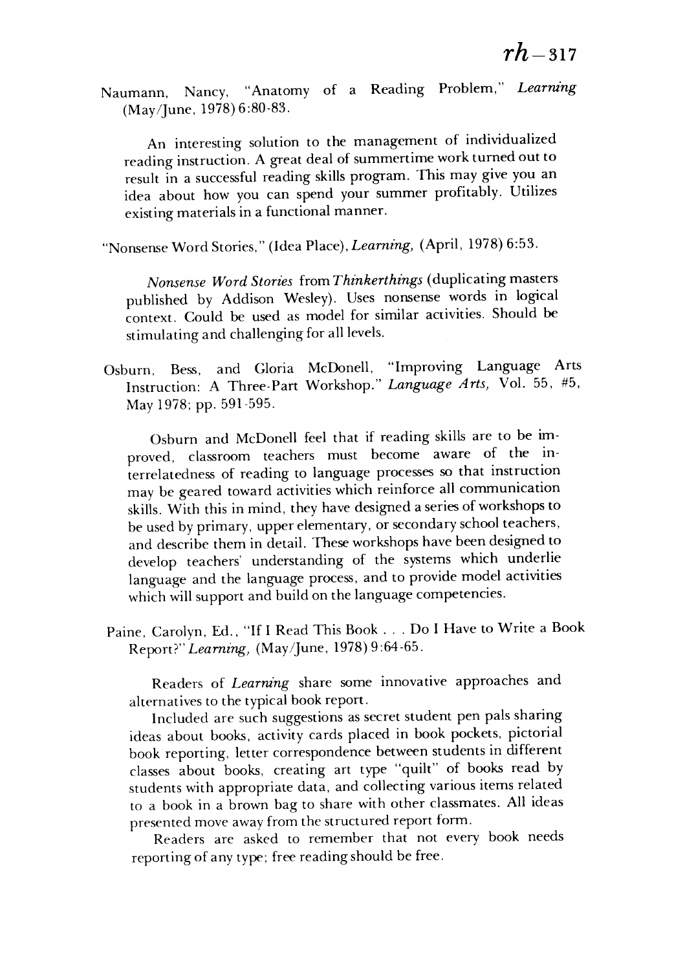Naumann, Nancy, "Anatomy of a Reading Problem," **Learning** Naumann, Nancy, "Anatomy of a Reading Problem," *Learning*  (May/June, 1978)6:80-83. (May/June, 1978) 6:80-83.

An interesting solution to the management of individualized An interesting solution to the management of individualized reading instruction. A great deal of summertime work turned out to result in a successful reading skills program. This may give you an result in a successful reading skills program. This may give you an idea about how you can spend your summer profitably. Utilizes idea about how you can spend your summer profitably. Utilizes existingmaterials in a functional manner. existing materials in a functional manner.

"Nonsense Word Stories," (Idea Place), **Learning,** (April, 1978) 6:53. "Nonsense Word Stories," (Idea Place), *Learning)* (April, 1978) 6:53.

**Nonsense Word Stories** from **Thinkerthings** (duplicating masters *Nonsense Word Stories* from *Thinkerthings* (duplicating masters published by Addison Wesley). Uses nonsense words in logical published by Addison Wesley). Uses nonsense words in logical context. Could be used as model for similar activities. Should be context. Could be used as model for similar activities. Should be stimulatingand challenging for all levels. stimulating and challenging for all levels.

Osburn, Bess, and Gloria McDonell, "Improving Language Arts Osburn, Bess, and Gloria McDonell, "Improving Language Arts Instruction: A Three-Part Workshop." *Language Arts, Vol.* 55, #5, May 1978; pp. 591-595. May 1978; pp. 591-595.

Osburn and McDonell feel that if reading skills are to be im Osburn and McDonell feel that if reading skills are to be improved, classroom teachers must become aware of the in proved, classroom teachers must become aware of the interrelatedness of reading to language processes so that instruction terrelatedness of reading to language processes so that instruction may be geared toward activities which reinforce all communication may be geared toward activities which reinforce all communication skills. With this in mind, they have designed a series of workshops to be used by primary, upper elementary, or secondary school teachers, and describe them in detail. These workshops have been designed to develop teachers' understanding of the systems which underlie develop teachers' understanding of the systems which underlie language and the language process, and to provide model activities which will support and build on the language competencies.

Paine, Carolyn, Ed., "If I Read This Book . . . Do I Have to Write a Book Report?"Learning, (May/June, 1978)9:64-65. Report?" *Learning)* (May/June, 1978) 9:64-65.

Readers of **Learning** share some innovative approaches and Readers of *Learning* share some innova tive approaches and alternatives to the typical book report. alternatives to the typical book report.

Included are such suggestions as secret student pen pals sharing ideas about books, activity cards placed in book pockets, pictorial ideas about books, activity cards placed in book pockets, pictorial book reporting, letter correspondence between students in different classes about books, creating art type "quilt" of books read by classes about books, creating art type "quilt" of books read by students with appropriate data, and collecting various items related students with appropriate data, and collecting various items related to a book in a brown bag to share with other classmates. All ideas to a book in a brown bag to share with other classmates. All ideas presented move away from the structured report form.

Readers are asked to remember that not every book needs Readers are asked to remember that not every book needs reporting of any type; free readingshould be free. reporting of any type; free reading should be free.